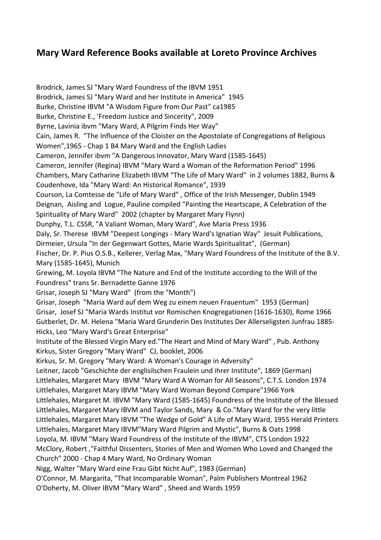## Mary Ward Reference Books available at Loreto Province Archives

Brodrick, James SJ "Mary Ward Foundress of the IBVM 1951 Brodrick, James SJ "Mary Ward and her Institute in America" 1945 Burke, Christine IBVM "A Wisdom Figure from Our Past" ca1985 Burke, Christine E., 'Freedom Justice and Sincerity", 2009 Byrne, Lavinia ibvm "Mary Ward, A Pilgrim Finds Her Way" Cain, James R. "The Influence of the Cloister on the Apostolate of Congregations of Religious Women",1965 - Chap 1 B4 Mary Ward and the English Ladies Cameron, Jennifer ibvm "A Dangerous Innovator, Mary Ward (1585-1645) Cameron, Jennifer (Regina) IBVM "Mary Ward a Woman of the Reformation Period" 1996 Chambers, Mary Catharine Elizabeth IBVM "The Life of Mary Ward" in 2 volumes 1882, Burns & Coudenhove, Ida "Mary Ward: An Historical Romance", 1939 Courson, La Comtesse de "Life of Mary Ward" , Office of the Irish Messenger, Dublin 1949 Deignan, Aisling and Logue, Pauline compiled "Painting the Heartscape, A Celebration of the Spirituality of Mary Ward" 2002 (chapter by Margaret Mary Flynn) Dunphy, T.L. CSSR, "A Valiant Woman, Mary Ward", Ave Maria Press 1936 Daly, Sr. Therese IBVM "Deepest Longings - Mary Ward's Ignatian Way" Jesuit Publications, Dirmeier, Ursula "In der Gegenwart Gottes, Marie Wards Spiritualitat", (German) Fischer, Dr. P. Pius O.S.B., Kellerer, Verlag Max, "Mary Ward Foundress of the Institute of the B.V. Mary (1585-1645), Munich Grewing, M. Loyola IBVM "The Nature and End of the Institute according to the Will of the Foundress" trans Sr. Bernadette Ganne 1976 Grisar, Joseph SJ "Mary Ward" (from the "Month") Grisar, Joseph "Maria Ward auf dem Weg zu einem neuen Frauentum" 1953 (German) Grisar, Josef SJ "Maria Wards Institut vor Romischen Knogregationen (1616-1630), Rome 1966 Gutberlet, Dr. M. Helena "Maria Ward Grunderin Des Institutes Der Allerseligsten Junfrau 1885- Hicks, Leo "Mary Ward's Great Enterprise" Institute of the Blessed Virgin Mary ed."The Heart and Mind of Mary Ward" , Pub. Anthony Kirkus, Sister Gregory "Mary Ward" CJ, booklet, 2006 Kirkus, Sr. M. Gregory "Mary Ward: A Woman's Courage in Adversity" Leitner, Jacob "Geschichte der englisilschen Fraulein und ihrer Institute", 1869 (German) Littlehales, Margaret Mary IBVM "Mary Ward A Woman for All Seasons", C.T.S. London 1974 Littlehales, Margaret Mary IBVM "Mary Ward Woman Beyond Compare"1966 York Littlehales, Margaret M. IBVM "Mary Ward (1585-1645) Foundress of the Institute of the Blessed Littlehales, Margaret Mary IBVM and Taylor Sands, Mary & Co."Mary Ward for the very little Littlehales, Margaret Mary IBVM "The Wedge of Gold" A Life of Mary Ward, 1955 Herald Printers Littlehales, Margaret Mary IBVM"Mary Ward Pilgrim and Mystic", Burns & Oats 1998 Loyola, M. IBVM "Mary Ward Foundress of the Institute of the IBVM", CTS London 1922 McClory, Robert ,"Faithful Dissenters, Stories of Men and Women Who Loved and Changed the Church" 2000 - Chap 4 Mary Ward, No Ordinary Woman Nigg, Walter "Mary Ward eine Frau Gibt Nicht Auf", 1983 (German) O'Connor, M. Margarita, "That Incomparable Woman", Palm Publishers Montreal 1962 O'Doherty, M. Oliver IBVM "Mary Ward" , Sheed and Wards 1959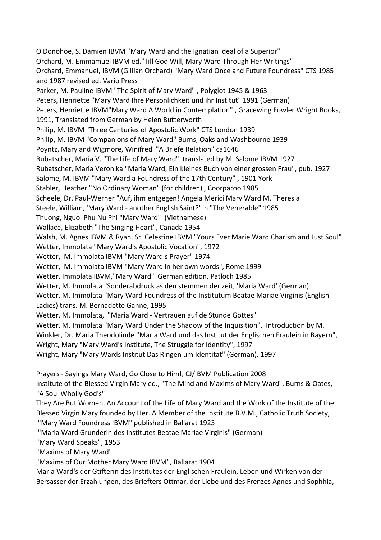O'Donohoe, S. Damien IBVM "Mary Ward and the Ignatian Ideal of a Superior" Orchard, M. Emmamuel IBVM ed."Till God Will, Mary Ward Through Her Writings" Orchard, Emmanuel, IBVM (Gillian Orchard) "Mary Ward Once and Future Foundress" CTS 1985 and 1987 revised ed. Vario Press Parker, M. Pauline IBVM "The Spirit of Mary Ward" , Polyglot 1945 & 1963 Peters, Henriette "Mary Ward Ihre Personlichkeit und ihr Institut" 1991 (German) Peters, Henriette IBVM"Mary Ward A World in Contemplation" , Gracewing Fowler Wright Books, 1991, Translated from German by Helen Butterworth Philip, M. IBVM "Three Centuries of Apostolic Work" CTS London 1939 Philip, M. IBVM "Companions of Mary Ward" Burns, Oaks and Washbourne 1939 Poyntz, Mary and Wigmore, Winifred "A Briefe Relation" ca1646 Rubatscher, Maria V. "The Life of Mary Ward" translated by M. Salome IBVM 1927 Rubatscher, Maria Veronika "Maria Ward, Ein kleines Buch von einer grossen Frau", pub. 1927 Salome, M. IBVM "Mary Ward a Foundress of the 17th Century" , 1901 York Stabler, Heather "No Ordinary Woman" (for children) , Coorparoo 1985 Scheele, Dr. Paul-Werner "Auf, ihm entgegen! Angela Merici Mary Ward M. Theresia Steele, William, 'Mary Ward - another English Saint?' in "The Venerable" 1985 Thuong, Nguoi Phu Nu Phi "Mary Ward" (Vietnamese) Wallace, Elizabeth "The Singing Heart", Canada 1954 Walsh, M. Agnes IBVM & Ryan, Sr. Celestine IBVM "Yours Ever Marie Ward Charism and Just Soul" Wetter, Immolata "Mary Ward's Apostolic Vocation", 1972 Wetter, M. Immolata IBVM "Mary Ward's Prayer" 1974 Wetter, M. Immolata IBVM "Mary Ward in her own words", Rome 1999 Wetter, Immolata IBVM,"Mary Ward" German edition, Patloch 1985 Wetter, M. Immolata "Sonderabdruck as den stemmen der zeit, 'Maria Ward' (German) Wetter, M. Immolata "Mary Ward Foundress of the Institutum Beatae Mariae Virginis (English Ladies) trans. M. Bernadette Ganne, 1995 Wetter, M. Immolata, "Maria Ward - Vertrauen auf de Stunde Gottes" Wetter, M. Immolata "Mary Ward Under the Shadow of the Inquisition", Introduction by M. Winkler, Dr. Maria Theodolinde "Maria Ward und das Institut der Englischen Fraulein in Bayern", Wright, Mary "Mary Ward's Institute, The Struggle for Identity", 1997 Wright, Mary "Mary Wards Institut Das Ringen um Identitat" (German), 1997 Prayers - Sayings Mary Ward, Go Close to Him!, CJ/IBVM Publication 2008 Institute of the Blessed Virgin Mary ed., "The Mind and Maxims of Mary Ward", Burns & Oates, "A Soul Wholly God's" They Are But Women, An Account of the Life of Mary Ward and the Work of the Institute of the

Blessed Virgin Mary founded by Her. A Member of the Institute B.V.M., Catholic Truth Society, "Mary Ward Foundress IBVM" published in Ballarat 1923

"Maria Ward Grunderin des Institutes Beatae Mariae Virginis" (German)

"Mary Ward Speaks", 1953

"Maxims of Mary Ward"

"Maxims of Our Mother Mary Ward IBVM", Ballarat 1904

Maria Ward's der Gtifterin des Institutes der Englischen Fraulein, Leben und Wirken von der Bersasser der Erzahlungen, des Briefters Ottmar, der Liebe und des Frenzes Agnes und Sophhia,